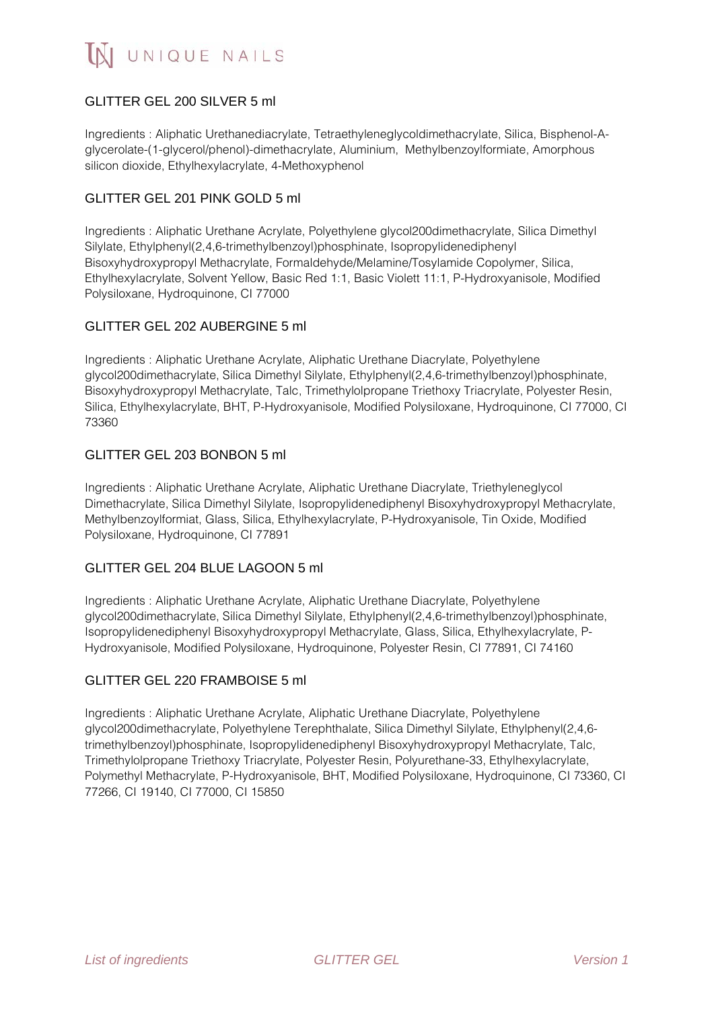# GLITTER GEL 200 SILVER 5 ml

Ingredients : Aliphatic Urethanediacrylate, Tetraethyleneglycoldimethacrylate, Silica, Bisphenol-Aglycerolate-(1-glycerol/phenol)-dimethacrylate, Aluminium, Methylbenzoylformiate, Amorphous silicon dioxide, Ethylhexylacrylate, 4-Methoxyphenol

## GLITTER GEL 201 PINK GOLD 5 ml

Ingredients : Aliphatic Urethane Acrylate, Polyethylene glycol200dimethacrylate, Silica Dimethyl Silylate, Ethylphenyl(2,4,6-trimethylbenzoyl)phosphinate, Isopropylidenediphenyl Bisoxyhydroxypropyl Methacrylate, Formaldehyde/Melamine/Tosylamide Copolymer, Silica, Ethylhexylacrylate, Solvent Yellow, Basic Red 1:1, Basic Violett 11:1, P-Hydroxyanisole, Modified Polysiloxane, Hydroquinone, CI 77000

# GLITTER GEL 202 AUBERGINE 5 ml

Ingredients : Aliphatic Urethane Acrylate, Aliphatic Urethane Diacrylate, Polyethylene glycol200dimethacrylate, Silica Dimethyl Silylate, Ethylphenyl(2,4,6-trimethylbenzoyl)phosphinate, Bisoxyhydroxypropyl Methacrylate, Talc, Trimethylolpropane Triethoxy Triacrylate, Polyester Resin, Silica, Ethylhexylacrylate, BHT, P-Hydroxyanisole, Modified Polysiloxane, Hydroquinone, CI 77000, CI 73360

# GLITTER GEL 203 BONBON 5 ml

Ingredients : Aliphatic Urethane Acrylate, Aliphatic Urethane Diacrylate, Triethyleneglycol Dimethacrylate, Silica Dimethyl Silylate, Isopropylidenediphenyl Bisoxyhydroxypropyl Methacrylate, Methylbenzoylformiat, Glass, Silica, Ethylhexylacrylate, P-Hydroxyanisole, Tin Oxide, Modified Polysiloxane, Hydroquinone, CI 77891

## GLITTER GEL 204 BLUE LAGOON 5 ml

Ingredients : Aliphatic Urethane Acrylate, Aliphatic Urethane Diacrylate, Polyethylene glycol200dimethacrylate, Silica Dimethyl Silylate, Ethylphenyl(2,4,6-trimethylbenzoyl)phosphinate, Isopropylidenediphenyl Bisoxyhydroxypropyl Methacrylate, Glass, Silica, Ethylhexylacrylate, P-Hydroxyanisole, Modified Polysiloxane, Hydroquinone, Polyester Resin, CI 77891, CI 74160

## GLITTER GEL 220 FRAMBOISE 5 ml

Ingredients : Aliphatic Urethane Acrylate, Aliphatic Urethane Diacrylate, Polyethylene glycol200dimethacrylate, Polyethylene Terephthalate, Silica Dimethyl Silylate, Ethylphenyl(2,4,6 trimethylbenzoyl)phosphinate, Isopropylidenediphenyl Bisoxyhydroxypropyl Methacrylate, Talc, Trimethylolpropane Triethoxy Triacrylate, Polyester Resin, Polyurethane-33, Ethylhexylacrylate, Polymethyl Methacrylate, P-Hydroxyanisole, BHT, Modified Polysiloxane, Hydroquinone, CI 73360, CI 77266, CI 19140, CI 77000, CI 15850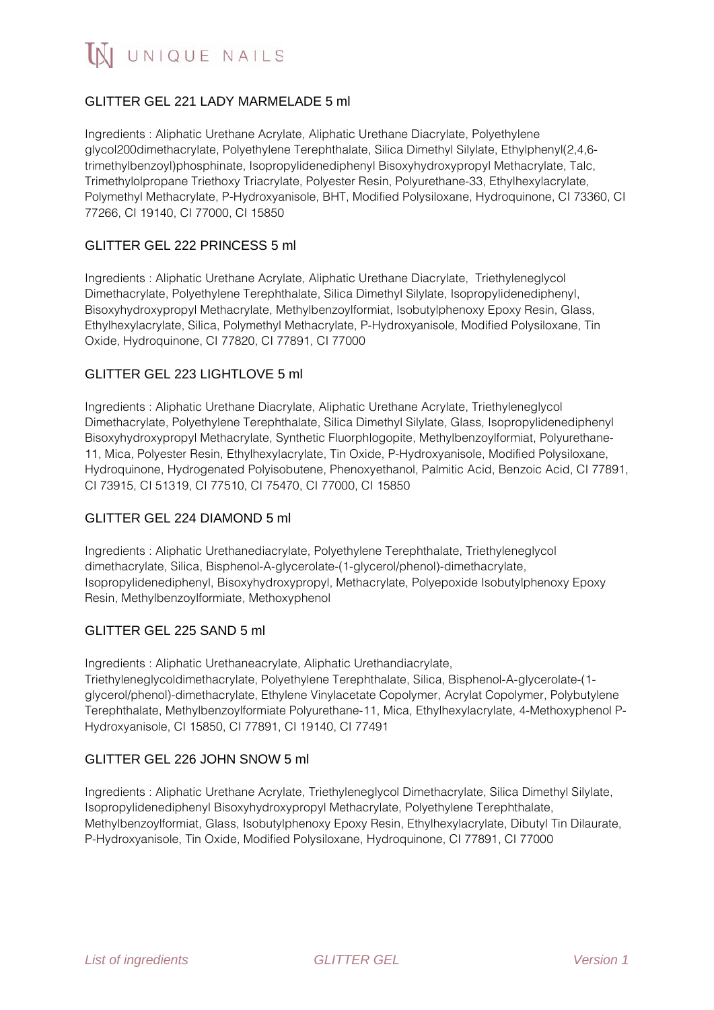

# GLITTER GEL 221 LADY MARMELADE 5 ml

Ingredients : Aliphatic Urethane Acrylate, Aliphatic Urethane Diacrylate, Polyethylene glycol200dimethacrylate, Polyethylene Terephthalate, Silica Dimethyl Silylate, Ethylphenyl(2,4,6 trimethylbenzoyl)phosphinate, Isopropylidenediphenyl Bisoxyhydroxypropyl Methacrylate, Talc, Trimethylolpropane Triethoxy Triacrylate, Polyester Resin, Polyurethane-33, Ethylhexylacrylate, Polymethyl Methacrylate, P-Hydroxyanisole, BHT, Modified Polysiloxane, Hydroquinone, CI 73360, CI 77266, CI 19140, CI 77000, CI 15850

### GLITTER GEL 222 PRINCESS 5 ml

Ingredients : Aliphatic Urethane Acrylate, Aliphatic Urethane Diacrylate, Triethyleneglycol Dimethacrylate, Polyethylene Terephthalate, Silica Dimethyl Silylate, Isopropylidenediphenyl, Bisoxyhydroxypropyl Methacrylate, Methylbenzoylformiat, Isobutylphenoxy Epoxy Resin, Glass, Ethylhexylacrylate, Silica, Polymethyl Methacrylate, P-Hydroxyanisole, Modified Polysiloxane, Tin Oxide, Hydroquinone, CI 77820, CI 77891, CI 77000

#### GLITTER GEL 223 LIGHTLOVE 5 ml

Ingredients : Aliphatic Urethane Diacrylate, Aliphatic Urethane Acrylate, Triethyleneglycol Dimethacrylate, Polyethylene Terephthalate, Silica Dimethyl Silylate, Glass, Isopropylidenediphenyl Bisoxyhydroxypropyl Methacrylate, Synthetic Fluorphlogopite, Methylbenzoylformiat, Polyurethane-11, Mica, Polyester Resin, Ethylhexylacrylate, Tin Oxide, P-Hydroxyanisole, Modified Polysiloxane, Hydroquinone, Hydrogenated Polyisobutene, Phenoxyethanol, Palmitic Acid, Benzoic Acid, CI 77891, CI 73915, CI 51319, CI 77510, CI 75470, CI 77000, CI 15850

#### GLITTER GEL 224 DIAMOND 5 ml

Ingredients : Aliphatic Urethanediacrylate, Polyethylene Terephthalate, Triethyleneglycol dimethacrylate, Silica, Bisphenol-A-glycerolate-(1-glycerol/phenol)-dimethacrylate, Isopropylidenediphenyl, Bisoxyhydroxypropyl, Methacrylate, Polyepoxide Isobutylphenoxy Epoxy Resin, Methylbenzoylformiate, Methoxyphenol

#### GLITTER GEL 225 SAND 5 ml

Ingredients : Aliphatic Urethaneacrylate, Aliphatic Urethandiacrylate, Triethyleneglycoldimethacrylate, Polyethylene Terephthalate, Silica, Bisphenol-A-glycerolate-(1 glycerol/phenol)-dimethacrylate, Ethylene Vinylacetate Copolymer, Acrylat Copolymer, Polybutylene Terephthalate, Methylbenzoylformiate Polyurethane-11, Mica, Ethylhexylacrylate, 4-Methoxyphenol P-Hydroxyanisole, CI 15850, CI 77891, CI 19140, CI 77491

## GLITTER GEL 226 JOHN SNOW 5 ml

Ingredients : Aliphatic Urethane Acrylate, Triethyleneglycol Dimethacrylate, Silica Dimethyl Silylate, Isopropylidenediphenyl Bisoxyhydroxypropyl Methacrylate, Polyethylene Terephthalate, Methylbenzoylformiat, Glass, Isobutylphenoxy Epoxy Resin, Ethylhexylacrylate, Dibutyl Tin Dilaurate, P-Hydroxyanisole, Tin Oxide, Modified Polysiloxane, Hydroquinone, CI 77891, CI 77000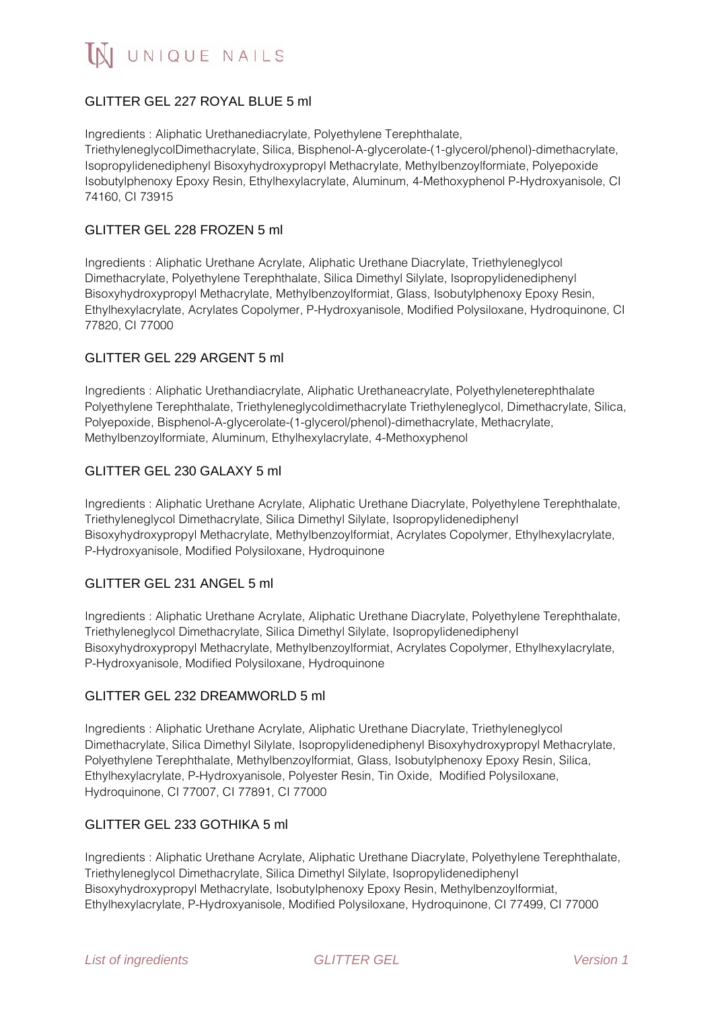# GLITTER GEL 227 ROYAL BLUE 5 ml

Ingredients : Aliphatic Urethanediacrylate, Polyethylene Terephthalate, TriethyleneglycolDimethacrylate, Silica, Bisphenol-A-glycerolate-(1-glycerol/phenol)-dimethacrylate, Isopropylidenediphenyl Bisoxyhydroxypropyl Methacrylate, Methylbenzoylformiate, Polyepoxide Isobutylphenoxy Epoxy Resin, Ethylhexylacrylate, Aluminum, 4-Methoxyphenol P-Hydroxyanisole, CI 74160, CI 73915

## GLITTER GEL 228 FROZEN 5 ml

Ingredients : Aliphatic Urethane Acrylate, Aliphatic Urethane Diacrylate, Triethyleneglycol Dimethacrylate, Polyethylene Terephthalate, Silica Dimethyl Silylate, Isopropylidenediphenyl Bisoxyhydroxypropyl Methacrylate, Methylbenzoylformiat, Glass, Isobutylphenoxy Epoxy Resin, Ethylhexylacrylate, Acrylates Copolymer, P-Hydroxyanisole, Modified Polysiloxane, Hydroquinone, CI 77820, CI 77000

### GLITTER GEL 229 ARGENT 5 ml

Ingredients : Aliphatic Urethandiacrylate, Aliphatic Urethaneacrylate, Polyethyleneterephthalate Polyethylene Terephthalate, Triethyleneglycoldimethacrylate Triethyleneglycol, Dimethacrylate, Silica, Polyepoxide, Bisphenol-A-glycerolate-(1-glycerol/phenol)-dimethacrylate, Methacrylate, Methylbenzoylformiate, Aluminum, Ethylhexylacrylate, 4-Methoxyphenol

### GLITTER GEL 230 GALAXY 5 ml

Ingredients : Aliphatic Urethane Acrylate, Aliphatic Urethane Diacrylate, Polyethylene Terephthalate, Triethyleneglycol Dimethacrylate, Silica Dimethyl Silylate, Isopropylidenediphenyl Bisoxyhydroxypropyl Methacrylate, Methylbenzoylformiat, Acrylates Copolymer, Ethylhexylacrylate, P-Hydroxyanisole, Modified Polysiloxane, Hydroquinone

#### GLITTER GEL 231 ANGEL 5 ml

Ingredients : Aliphatic Urethane Acrylate, Aliphatic Urethane Diacrylate, Polyethylene Terephthalate, Triethyleneglycol Dimethacrylate, Silica Dimethyl Silylate, Isopropylidenediphenyl Bisoxyhydroxypropyl Methacrylate, Methylbenzoylformiat, Acrylates Copolymer, Ethylhexylacrylate, P-Hydroxyanisole, Modified Polysiloxane, Hydroquinone

## GLITTER GEL 232 DREAMWORLD 5 ml

Ingredients : Aliphatic Urethane Acrylate, Aliphatic Urethane Diacrylate, Triethyleneglycol Dimethacrylate, Silica Dimethyl Silylate, Isopropylidenediphenyl Bisoxyhydroxypropyl Methacrylate, Polyethylene Terephthalate, Methylbenzoylformiat, Glass, Isobutylphenoxy Epoxy Resin, Silica, Ethylhexylacrylate, P-Hydroxyanisole, Polyester Resin, Tin Oxide, Modified Polysiloxane, Hydroquinone, CI 77007, CI 77891, CI 77000

## GLITTER GEL 233 GOTHIKA 5 ml

Ingredients : Aliphatic Urethane Acrylate, Aliphatic Urethane Diacrylate, Polyethylene Terephthalate, Triethyleneglycol Dimethacrylate, Silica Dimethyl Silylate, Isopropylidenediphenyl Bisoxyhydroxypropyl Methacrylate, Isobutylphenoxy Epoxy Resin, Methylbenzoylformiat, Ethylhexylacrylate, P-Hydroxyanisole, Modified Polysiloxane, Hydroquinone, CI 77499, CI 77000